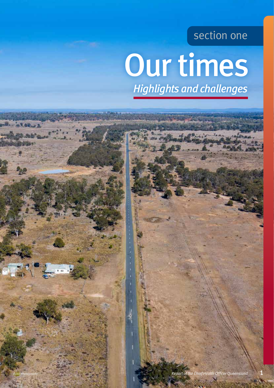### section one

# Our times *Highlights and challenges*

*Budd Photography*

**RABUS**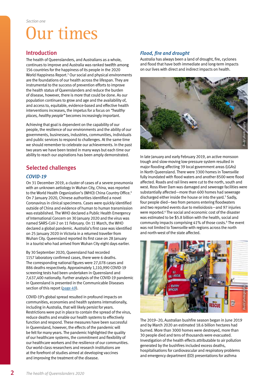## Our times

#### Introduction

The health of Queenslanders, and Australians as a whole, continues to improve and Australia was ranked twelfth among 156 countries for the happiness of its people in the 2020 World Happiness Report.<sup>3</sup> Our social and physical environments are the foundations of our health across the lifespan. They are instrumental to the success of prevention efforts to improve the health status of Queenslanders and reduce the burden of disease, however, there is more that could be done. As our population continues to grow and age and the availability of, and access to, equitable, evidence-based and effective health interventions increases, the impetus for a focus on *"healthy places, healthy people"* becomes increasingly important.

Achieving that goal is dependent on the capability of our people, the resilience of our environments and the ability of our governments, businesses, industries, communities, individuals and public services to respond to challenges. At the same time we should remember to celebrate our achievements. In the past two years we have been tested in many ways but each time our ability to reach our aspirations has been amply demonstrated.

### Selected challenges

#### *COVID-19*

On 31 December 2019, a cluster of cases of a severe pneumonia with an unknown aetiology in Wuhan City, China, was reported to the World Health Organization's (WHO) China Country Office.<sup>4</sup> On 7 January 2020, Chinese authorities identified a novel Coronavirus in clinical specimens. Cases were quickly identified outside of China and evidence of human to human transmission was established. The WHO declared a Public Health Emergency of International Concern on 30 January 2020 and the virus was named SARS-CoV-2 on 11 February. On 11 March, the WHO declared a global pandemic. Australia's first case was identified on 25 January 2020 in Victoria in a returned traveller from Wuhan City. Queensland reported its first case on 28 January in a tourist who had arrived from Wuhan City eight days earlier.

By 30 September 2020, Queensland had recorded 1157 laboratory confirmed cases, there were 6 deaths. The corresponding national figures were 27,078 cases and 886 deaths respectively. Approximately 1,110,990 COVID-19 screening tests had been undertaken in Queensland and 7,637,400 nationally. Further analysis of the COVID-19 pandemic in Queensland is presented in the Communicable Diseases section of this report ([page 49](#page--1-0)).

COVID-19's global spread resulted in profound impacts on communities, economies and health systems internationally, including in Australia, that will likely persist for years. Restrictions were put in place to contain the spread of the virus, reduce deaths and enable our health systems to effectively function and respond. These measures have been successful in Queensland, however, the effects of the pandemic will be felt for many years. The pandemic highlighted the quality of our healthcare systems, the commitment and flexibility of our healthcare workers and the resilience of our communities. Our world-class researchers and research institutions are at the forefront of studies aimed at developing vaccines and improving the treatment of the disease.

#### *Flood, fire and drought*

Australia has always been a land of drought, fire, cyclones and flood that have both immediate and long-term impacts on our lives with direct and indirect impacts on health.



In late January and early February 2019, an active monsoon trough and slow-moving low-pressure system resulted in major flooding affecting 39 local government areas (LGAs) in North Queensland. There were 3300 homes in Townsville fully inundated with flood waters and another 8500 were flood affected. Roads and rail lines were cut to the north, south and west. Ross River Dam was damaged and sewerage facilities were substantially affected—more than 600 homes had sewerage discharged either inside the house or into the yard.<sup>5</sup> Sadly, four people died—two from persons entering floodwaters and two reported events due to melioidosis—and 97 injuries were reported.<sup>6</sup> The social and economic cost of the disaster was estimated to be \$5.8 billion with the health, social and community impacts comprising 41% of those costs.<sup>6</sup> The event was not limited to Townsville with regions across the north and north-west of the state affected.



The 2019–20, Australian bushfire season began in June 2019 and by March 2020 an estimated 18.6 billion hectares had burned. More than 3000 homes were destroyed, more than 30 people died and tens of thousands were evacuated. Investigation of the health effects attributable to air pollution generated by the bushfires included excess deaths, hospitalisations for cardiovascular and respiratory problems and emergency department (ED) presentations for asthma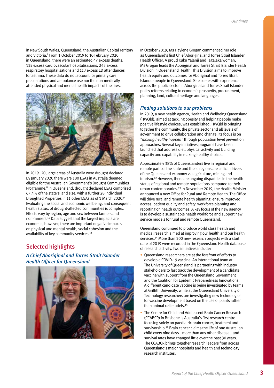in New South Wales, Queensland, the Australian Capital Territory and Victoria.7 From 1 October 2019 to 10 February 2020 in Queensland, there were an estimated 47 excess deaths, 135 excess cardiovascular hospitalisations, 245 excess respiratory hospitalisations and 113 excess ED attendances for asthma. These data do not account for primary care presentations and ambulance use nor the non-medically attended physical and mental health impacts of the fires.



In 2019–20, large areas of Australia were drought declared. By January 2020 there were 180 LGAs in Australia deemed eligible for the Australian Government's Drought Communities Programme.<sup>8</sup> In Queensland, drought declared LGAs comprised 67.4% of the state's land size, with a further 28 Individual Droughted Properties in 11 other LGAs as of 1 March 2020.9 Evaluating the social and economic wellbeing, and consequent health status, of drought-affected communities is complex. Effects vary by region, age and sex between farmers and non-farmers.10 Data suggest that the largest impacts are economic, however, there are important negative impacts on physical and mental health, social cohesion and the availability of key community services.<sup>11</sup>

#### Selected highlights

*A Chief Aboriginal and Torres Strait Islander Health Officer for Queensland*



In October 2019, Ms Haylene Grogan commenced her role as Queensland's first Chief Aboriginal and Torres Strait Islander Health Officer. A proud Kuku Yalanji and Tagalaka woman, Ms Grogan leads the Aboriginal and Torres Strait Islander Health Division in Queensland Health. This Division aims to improve health equity and outcomes for Aboriginal and Torres Strait Islander people in Queensland. She comes with experience across the public sector in Aboriginal and Torres Strait Islander policy reforms relating to economic prosperity, procurement, planning, land, cultural heritage and languages.

#### *Finding solutions to our problems*

In 2019, a new health agency, Health and Wellbeing Queensland (HWQld), aimed at tackling obesity and helping people make positive lifestyle choices, was established. HWQld is bringing together the community, the private sector and all levels of government to drive collaboration and change. Its focus is on *"making healthy happen"* through population level prevention approaches. Several key initiatives programs have been launched that address diet, physical activity and building capacity and capability in making healthy choices.

Approximately 38% of Queenslanders live in regional and remote parts of the state and these regions are critical drivers of the Queensland economy via agriculture, mining and tourism.12 However, there are ongoing disparities in the health status of regional and remote populations compared to their urban contemporaries.<sup>13</sup> In November 2019, the Health Minister announced a new Office for Rural and Remote Health. The Office will drive rural and remote health planning, ensure improved access, patient quality and safety, workforce planning and reporting on health outcomes. A key focus of the new agency is to develop a sustainable health workforce and support new service models for rural and remote Queensland.

Queensland continued to produce world class health and medical research aimed at improving our health and our health services.14 More than 300 new research projects with a start date of 2019 were recorded in the Queensland Health database of research activity. Two initiatives include:

- Queensland researchers are at the forefront of efforts to develop a COVID-19 vaccine. An international team at The University of Queensland is partnering with industry stakeholders to fast track the development of a candidate vaccine with support from the Queensland Government and the Coalition for Epidemic Preparedness Innovations. A different candidate vaccine is being investigated by teams at Griffith University, while at the Queensland University of Technology researchers are investigating new technologies for vaccine development based on the use of plants rather than animal cell models.15
- The Centre for Child and Adolescent Brain Cancer Research (CCABCR) in Brisbane is Australia's first research centre focusing solely on paediatric brain cancer, treatment and survivorship.<sup>16</sup> Brain cancer claims the life of one Australian child every nine days—more than any other disease—and survival rates have changed little over the past 30 years. The CCABCR brings together research leaders from across Queensland's major hospitals and health and technology research institutes.